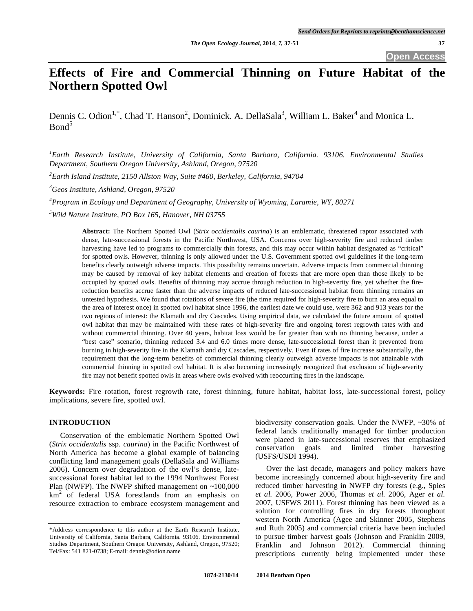# **Effects of Fire and Commercial Thinning on Future Habitat of the Northern Spotted Owl**

Dennis C. Odion<sup>1,\*</sup>, Chad T. Hanson<sup>2</sup>, Dominick. A. DellaSala<sup>3</sup>, William L. Baker<sup>4</sup> and Monica L. Bond<sup>5</sup>

*1 Earth Research Institute, University of California, Santa Barbara, California. 93106. Environmental Studies Department, Southern Oregon University, Ashland, Oregon, 97520* 

*2 Earth Island Institute, 2150 Allston Way, Suite #460, Berkeley, California, 94704* 

*3 Geos Institute, Ashland, Oregon, 97520* 

*4 Program in Ecology and Department of Geography, University of Wyoming, Laramie, WY, 80271* 

*5 Wild Nature Institute, PO Box 165, Hanover, NH 03755* 

**Abstract:** The Northern Spotted Owl (*Strix occidentalis caurina*) is an emblematic, threatened raptor associated with dense, late-successional forests in the Pacific Northwest, USA. Concerns over high-severity fire and reduced timber harvesting have led to programs to commercially thin forests, and this may occur within habitat designated as "critical" for spotted owls. However, thinning is only allowed under the U.S. Government spotted owl guidelines if the long-term benefits clearly outweigh adverse impacts. This possibility remains uncertain. Adverse impacts from commercial thinning may be caused by removal of key habitat elements and creation of forests that are more open than those likely to be occupied by spotted owls. Benefits of thinning may accrue through reduction in high-severity fire, yet whether the firereduction benefits accrue faster than the adverse impacts of reduced late-successional habitat from thinning remains an untested hypothesis. We found that rotations of severe fire (the time required for high-severity fire to burn an area equal to the area of interest once) in spotted owl habitat since 1996, the earliest date we could use, were 362 and 913 years for the two regions of interest: the Klamath and dry Cascades. Using empirical data, we calculated the future amount of spotted owl habitat that may be maintained with these rates of high-severity fire and ongoing forest regrowth rates with and without commercial thinning. Over 40 years, habitat loss would be far greater than with no thinning because, under a "best case" scenario, thinning reduced 3.4 and 6.0 times more dense, late-successional forest than it prevented from burning in high-severity fire in the Klamath and dry Cascades, respectively. Even if rates of fire increase substantially, the requirement that the long-term benefits of commercial thinning clearly outweigh adverse impacts is not attainable with commercial thinning in spotted owl habitat. It is also becoming increasingly recognized that exclusion of high-severity fire may not benefit spotted owls in areas where owls evolved with reoccurring fires in the landscape.

**Keywords:** Fire rotation, forest regrowth rate, forest thinning, future habitat, habitat loss, late-successional forest, policy implications, severe fire, spotted owl.

# **INTRODUCTION**

 Conservation of the emblematic Northern Spotted Owl (*Strix occidentalis* ssp. *caurina*) in the Pacific Northwest of North America has become a global example of balancing conflicting land management goals (DellaSala and Williams 2006). Concern over degradation of the owl's dense, latesuccessional forest habitat led to the 1994 Northwest Forest Plan (NWFP). The NWFP shifted management on  $\sim 100,000$ km<sup>2</sup> of federal USA forestlands from an emphasis on resource extraction to embrace ecosystem management and

biodiversity conservation goals. Under the NWFP, ~30% of federal lands traditionally managed for timber production were placed in late-successional reserves that emphasized conservation goals and limited timber harvesting (USFS/USDI 1994).

 Over the last decade, managers and policy makers have become increasingly concerned about high-severity fire and reduced timber harvesting in NWFP dry forests (e.g., Spies *et al.* 2006, Power 2006, Thomas *et al.* 2006, Ager *et al.* 2007, USFWS 2011). Forest thinning has been viewed as a solution for controlling fires in dry forests throughout western North America (Agee and Skinner 2005, Stephens and Ruth 2005) and commercial criteria have been included to pursue timber harvest goals (Johnson and Franklin 2009, Franklin and Johnson 2012). Commercial thinning prescriptions currently being implemented under these

<sup>\*</sup>Address correspondence to this author at the Earth Research Institute, University of California, Santa Barbara, California. 93106. Environmental Studies Department, Southern Oregon University, Ashland, Oregon, 97520; Tel/Fax: 541 821-0738; E-mail: dennis@odion.name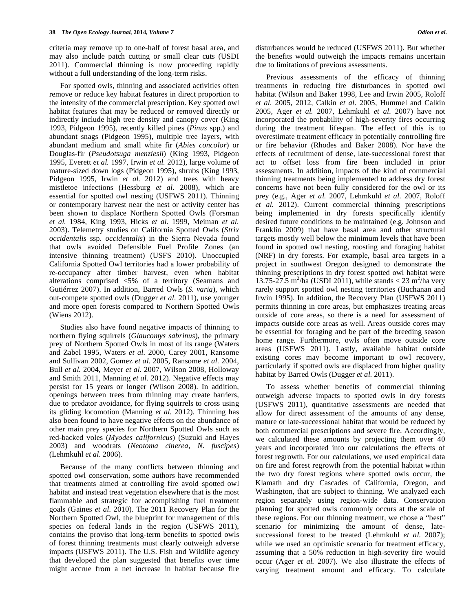criteria may remove up to one-half of forest basal area, and may also include patch cutting or small clear cuts (USDI 2011). Commercial thinning is now proceeding rapidly without a full understanding of the long-term risks.

 For spotted owls, thinning and associated activities often remove or reduce key habitat features in direct proportion to the intensity of the commercial prescription. Key spotted owl habitat features that may be reduced or removed directly or indirectly include high tree density and canopy cover (King 1993, Pidgeon 1995), recently killed pines (*Pinus* spp.) and abundant snags (Pidgeon 1995), multiple tree layers, with abundant medium and small white fir (*Abies concolor*) or Douglas-fir (*Pseudotsuga menziesii*) (King 1993, Pidgeon 1995, Everett *et al.* 1997, Irwin *et al.* 2012), large volume of mature-sized down logs (Pidgeon 1995), shrubs (King 1993, Pidgeon 1995, Irwin *et al.* 2012) and trees with heavy mistletoe infections (Hessburg *et al.* 2008), which are essential for spotted owl nesting (USFWS 2011). Thinning or contemporary harvest near the nest or activity center has been shown to displace Northern Spotted Owls (Forsman *et al.* 1984, King 1993, Hicks *et al.* 1999, Meiman *et al.* 2003). Telemetry studies on California Spotted Owls (*Strix occidentalis* ssp. *occidentalis*) in the Sierra Nevada found that owls avoided Defensible Fuel Profile Zones (an intensive thinning treatment) (USFS 2010). Unoccupied California Spotted Owl territories had a lower probability of re-occupancy after timber harvest, even when habitat alterations comprised <5% of a territory (Seamans and Gutiérrez 2007). In addition, Barred Owls (*S. varia*), which out-compete spotted owls (Dugger *et al.* 2011), use younger and more open forests compared to Northern Spotted Owls (Wiens 2012).

 Studies also have found negative impacts of thinning to northern flying squirrels (*Glaucomys sabrinus*), the primary prey of Northern Spotted Owls in most of its range (Waters and Zabel 1995, Waters *et al.* 2000, Carey 2001, Ransome and Sullivan 2002, Gomez *et al.* 2005, Ransome *et al.* 2004, Bull *et al.* 2004, Meyer *et al.* 2007, Wilson 2008, Holloway and Smith 2011, Manning *et al.* 2012). Negative effects may persist for 15 years or longer (Wilson 2008). In addition, openings between trees from thinning may create barriers, due to predator avoidance, for flying squirrels to cross using its gliding locomotion (Manning *et al.* 2012). Thinning has also been found to have negative effects on the abundance of other main prey species for Northern Spotted Owls such as red-backed voles (*Myodes californicus*) (Suzuki and Hayes 2003) and woodrats (*Neotoma cinerea, N. fuscipes*) (Lehmkuhl *et al.* 2006).

 Because of the many conflicts between thinning and spotted owl conservation, some authors have recommended that treatments aimed at controlling fire avoid spotted owl habitat and instead treat vegetation elsewhere that is the most flammable and strategic for accomplishing fuel treatment goals (Gaines *et al.* 2010). The 2011 Recovery Plan for the Northern Spotted Owl, the blueprint for management of this species on federal lands in the region (USFWS 2011), contains the proviso that long-term benefits to spotted owls of forest thinning treatments must clearly outweigh adverse impacts (USFWS 2011). The U.S. Fish and Wildlife agency that developed the plan suggested that benefits over time might accrue from a net increase in habitat because fire disturbances would be reduced (USFWS 2011). But whether the benefits would outweigh the impacts remains uncertain due to limitations of previous assessments.

 Previous assessments of the efficacy of thinning treatments in reducing fire disturbances in spotted owl habitat (Wilson and Baker 1998, Lee and Irwin 2005, Roloff *et al.* 2005, 2012, Calkin *et al.* 2005, Hummel and Calkin 2005, Ager *et al.* 2007, Lehmkuhl *et al.* 2007) have not incorporated the probability of high-severity fires occurring during the treatment lifespan. The effect of this is to overestimate treatment efficacy in potentially controlling fire or fire behavior (Rhodes and Baker 2008). Nor have the effects of recruitment of dense, late-successional forest that act to offset loss from fire been included in prior assessments. In addition, impacts of the kind of commercial thinning treatments being implemented to address dry forest concerns have not been fully considered for the owl or its prey (e.g., Ager *et al.* 2007, Lehmkuhl *et al.* 2007, Roloff *et al.* 2012). Current commercial thinning prescriptions being implemented in dry forests specifically identify desired future conditions to be maintained (e.g. Johnson and Franklin 2009) that have basal area and other structural targets mostly well below the minimum levels that have been found in spotted owl nesting, roosting and foraging habitat (NRF) in dry forests. For example, basal area targets in a project in southwest Oregon designed to demonstrate the thinning prescriptions in dry forest spotted owl habitat were 13.75-27.5 m<sup>2</sup>/ha (USDI 2011), while stands < 23 m<sup>2</sup>/ha very rarely support spotted owl nesting territories (Buchanan and Irwin 1995). In addition, the Recovery Plan (USFWS 2011) permits thinning in core areas, but emphasizes treating areas outside of core areas, so there is a need for assessment of impacts outside core areas as well. Areas outside cores may be essential for foraging and be part of the breeding season home range. Furthermore, owls often move outside core areas (USFWS 2011). Lastly, available habitat outside existing cores may become important to owl recovery, particularly if spotted owls are displaced from higher quality habitat by Barred Owls (Dugger *et al.* 2011).

 To assess whether benefits of commercial thinning outweigh adverse impacts to spotted owls in dry forests (USFWS 2011), quantitative assessments are needed that allow for direct assessment of the amounts of any dense, mature or late-successional habitat that would be reduced by both commercial prescriptions and severe fire. Accordingly, we calculated these amounts by projecting them over 40 years and incorporated into our calculations the effects of forest regrowth. For our calculations, we used empirical data on fire and forest regrowth from the potential habitat within the two dry forest regions where spotted owls occur, the Klamath and dry Cascades of California, Oregon, and Washington, that are subject to thinning. We analyzed each region separately using region-wide data. Conservation planning for spotted owls commonly occurs at the scale of these regions. For our thinning treatment, we chose a "best" scenario for minimizing the amount of dense, latesuccessional forest to be treated (Lehmkuhl *et al.* 2007); while we used an optimistic scenario for treatment efficacy, assuming that a 50% reduction in high-severity fire would occur (Ager *et al.* 2007). We also illustrate the effects of varying treatment amount and efficacy. To calculate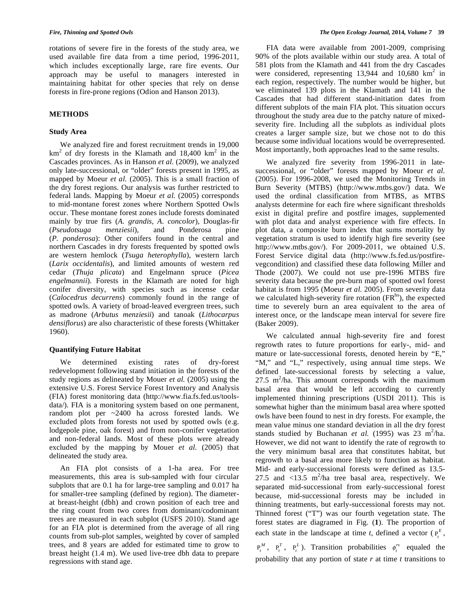rotations of severe fire in the forests of the study area, we used available fire data from a time period, 1996-2011, which includes exceptionally large, rare fire events. Our approach may be useful to managers interested in maintaining habitat for other species that rely on dense forests in fire-prone regions (Odion and Hanson 2013).

# **METHODS**

# **Study Area**

 We analyzed fire and forest recruitment trends in 19,000  $km<sup>2</sup>$  of dry forests in the Klamath and 18,400 km<sup>2</sup> in the Cascades provinces. As in Hanson *et al.* (2009), we analyzed only late-successional, or "older" forests present in 1995, as mapped by Moeur *et al.* (2005). This is a small fraction of the dry forest regions. Our analysis was further restricted to federal lands. Mapping by Moeur *et al.* (2005) corresponds to mid-montane forest zones where Northern Spotted Owls occur. These montane forest zones include forests dominated mainly by true firs (*A. grandis, A. concolor*), Douglas-fir (*Pseudotsuga menziesii*), and Ponderosa pine (*P. ponderosa*): Other conifers found in the central and northern Cascades in dry forests frequented by spotted owls are western hemlock (*Tsuga heterophylla*), western larch (*Larix occidentalis*), and limited amounts of western red cedar (*Thuja plicata*) and Engelmann spruce (*Picea engelmannii*). Forests in the Klamath are noted for high conifer diversity, with species such as incense cedar (*Calocedrus decurrens*) commonly found in the range of spotted owls. A variety of broad-leaved evergreen trees, such as madrone (*Arbutus menziesii*) and tanoak (*Lithocarpus densiflorus*) are also characteristic of these forests (Whittaker 1960).

## **Quantifying Future Habitat**

 We determined existing rates of dry-forest redevelopment following stand initiation in the forests of the study regions as delineated by Mouer *et al.* (2005) using the extensive U.S. Forest Service Forest Inventory and Analysis (FIA) forest monitoring data (http://www.fia.fs.fed.us/toolsdata/). FIA is a monitoring system based on one permanent, random plot per ~2400 ha across forested lands. We excluded plots from forests not used by spotted owls (e.g. lodgepole pine, oak forest) and from non-conifer vegetation and non-federal lands. Most of these plots were already excluded by the mapping by Mouer *et al.* (2005) that delineated the study area.

 An FIA plot consists of a 1-ha area. For tree measurements, this area is sub-sampled with four circular subplots that are 0.1 ha for large-tree sampling and 0.017 ha for smaller-tree sampling (defined by region). The diameterat breast-height (dbh) and crown position of each tree and the ring count from two cores from dominant/codominant trees are measured in each subplot (USFS 2010). Stand age for an FIA plot is determined from the average of all ring counts from sub-plot samples, weighted by cover of sampled trees, and 8 years are added for estimated time to grow to breast height (1.4 m). We used live-tree dbh data to prepare regressions with stand age.

 FIA data were available from 2001-2009, comprising 90% of the plots available within our study area. A total of 581 plots from the Klamath and 441 from the dry Cascades were considered, representing  $13,944$  and  $10,680$  km<sup>2</sup> in each region, respectively. The number would be higher, but we eliminated 139 plots in the Klamath and 141 in the Cascades that had different stand-initiation dates from different subplots of the main FIA plot. This situation occurs throughout the study area due to the patchy nature of mixedseverity fire. Including all the subplots as individual plots creates a larger sample size, but we chose not to do this because some individual locations would be overrepresented. Most importantly, both approaches lead to the same results.

 We analyzed fire severity from 1996-2011 in latesuccessional, or "older" forests mapped by Moeur *et al.* (2005). For 1996-2008, we used the Monitoring Trends in Burn Severity (MTBS) (http://www.mtbs.gov/) data. We used the ordinal classification from MTBS, as MTBS analysts determine for each fire where significant thresholds exist in digital prefire and postfire images, supplemented with plot data and analyst experience with fire effects. In plot data, a composite burn index that sums mortality by vegetation stratum is used to identify high fire severity (see http://www.mtbs.gov/). For 2009-2011, we obtained U.S. Forest Service digital data (http://www.fs.fed.us/postfirevegcondition) and classified these data following Miller and Thode (2007). We could not use pre-1996 MTBS fire severity data because the pre-burn map of spotted owl forest habitat is from 1995 (Moeur *et al.* 2005). From severity data we calculated high-severity fire rotation  $(FR<sup>hs</sup>)$ , the expected time to severely burn an area equivalent to the area of interest once, or the landscape mean interval for severe fire (Baker 2009).

 We calculated annual high-severity fire and forest regrowth rates to future proportions for early-, mid- and mature or late-successional forests, denoted herein by "E," "M," and "L," respectively, using annual time steps. We defined late-successional forests by selecting a value,  $27.5 \text{ m}^2/\text{ha}$ . This amount corresponds with the maximum basal area that would be left according to currently implemented thinning prescriptions (USDI 2011). This is somewhat higher than the minimum basal area where spotted owls have been found to nest in dry forests. For example, the mean value minus one standard deviation in all the dry forest stands studied by Buchanan *et al.* (1995) was  $23 \text{ m}^2/\text{ha}$ . However, we did not want to identify the rate of regrowth to the very minimum basal area that constitutes habitat, but regrowth to a basal area more likely to function as habitat. Mid- and early-successional forests were defined as 13.5- 27.5 and  $\langle 13.5 \text{ m}^2/\text{ha}$  tree basal area, respectively. We separated mid-successional from early-successional forest because, mid-successional forests may be included in thinning treatments, but early-successional forests may not. Thinned forest ("T") was our fourth vegetation state. The forest states are diagramed in Fig. (**1**). The proportion of each state in the landscape at time *t*, defined a vector  $(P_t^E,$  $P_t^M$ ,  $P_t^T$ ,  $P_t^L$ ). Transition probabilities  $\phi_t^{rs}$  equaled the probability that any portion of state *r* at time *t* transitions to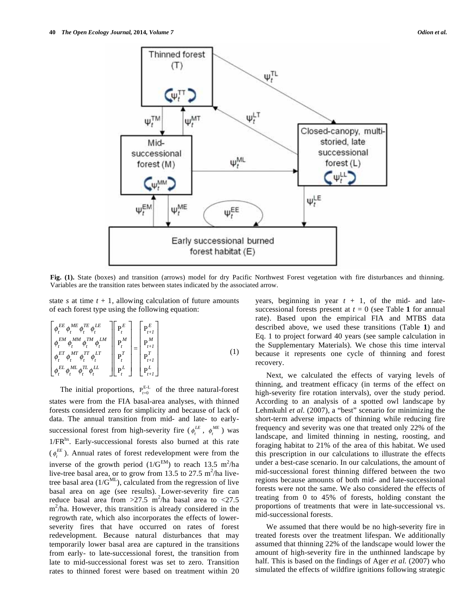

**Fig. (1).** State (boxes) and transition (arrows) model for dry Pacific Northwest Forest vegetation with fire disturbances and thinning. Variables are the transition rates between states indicated by the associated arrow.

state *s* at time  $t + 1$ , allowing calculation of future amounts of each forest type using the following equation:

$$
\begin{bmatrix}\n\phi_t^{EE} & \phi_t^{ME} & \phi_t^{TE} & \phi_t^{LE} \\
\phi_t^{EM} & \phi_t^{MM} & \phi_t^{TM} & \phi_t^{LM} \\
\phi_t^{EM} & \phi_t^{MM} & \phi_t^{TM} & \phi_t^{LM} \\
\phi_t^{ET} & \phi_t^{MT} & \phi_t^{LT} & \phi_t^{LT} \\
\phi_t^{EL} & \phi_t^{ML} & \phi_t^{TL} & \phi_t^{LL}\n\end{bmatrix} = \begin{bmatrix}\nP_t^E \\
P_{t+1}^M \\
P_t^M \\
P_t^T \\
P_{t+1}^L \\
P_{t+1}^L\n\end{bmatrix} \tag{1}
$$

The initial proportions,  $P_{t=0}^{E-L}$  of the three natural-forest states were from the FIA basal-area analyses, with thinned forests considered zero for simplicity and because of lack of data. The annual transition from mid- and late- to earlysuccessional forest from high-severity fire ( $\phi_t^{LE}$ ,  $\phi_t^{ME}$ ) was 1/FR<sup>hs</sup>. Early-successional forests also burned at this rate  $(\phi_t^{EE})$ . Annual rates of forest redevelopment were from the inverse of the growth period  $(1/G<sup>EM</sup>)$  to reach 13.5 m<sup>2</sup>/ha live-tree basal area, or to grow from 13.5 to 27.5  $m^2/ha$  livetree basal area  $(1/G^{\text{ML}})$ , calculated from the regression of live basal area on age (see results). Lower-severity fire can reduce basal area from  $>27.5$  m<sup>2</sup>/ha basal area to <27.5 m<sup>2</sup>/ha. However, this transition is already considered in the regrowth rate, which also incorporates the effects of lowerseverity fires that have occurred on rates of forest redevelopment. Because natural disturbances that may temporarily lower basal area are captured in the transitions from early- to late-successional forest, the transition from late to mid-successional forest was set to zero. Transition rates to thinned forest were based on treatment within 20

years, beginning in year  $t + 1$ , of the mid- and latesuccessional forests present at  $t = 0$  (see Table 1 for annual rate). Based upon the empirical FIA and MTBS data described above, we used these transitions (Table **1**) and Eq. 1 to project forward 40 years (see sample calculation in the Supplementary Materials). We chose this time interval because it represents one cycle of thinning and forest recovery.

 Next, we calculated the effects of varying levels of thinning, and treatment efficacy (in terms of the effect on high-severity fire rotation intervals), over the study period. According to an analysis of a spotted owl landscape by Lehmkuhl *et al.* (2007), a "best" scenario for minimizing the short-term adverse impacts of thinning while reducing fire frequency and severity was one that treated only 22% of the landscape, and limited thinning in nesting, roosting, and foraging habitat to 21% of the area of this habitat. We used this prescription in our calculations to illustrate the effects under a best-case scenario. In our calculations, the amount of mid-successional forest thinning differed between the two regions because amounts of both mid- and late-successional forests were not the same. We also considered the effects of treating from 0 to 45% of forests, holding constant the proportions of treatments that were in late-successional vs. mid-successional forests.

 We assumed that there would be no high-severity fire in treated forests over the treatment lifespan. We additionally assumed that thinning 22% of the landscape would lower the amount of high-severity fire in the unthinned landscape by half. This is based on the findings of Ager *et al.* (2007) who simulated the effects of wildfire ignitions following strategic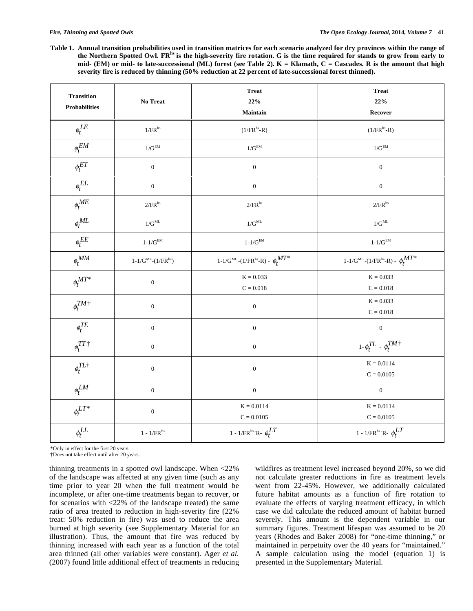**Table 1. Annual transition probabilities used in transition matrices for each scenario analyzed for dry provinces within the range of**  the Northern Spotted Owl. FR<sup>hs</sup> is the high-severity fire rotation. G is the time required for stands to grow from early to **mid- (EM) or mid- to late-successional (ML) forest (see Table 2). K = Klamath, C = Cascades. R is the amount that high severity fire is reduced by thinning (50% reduction at 22 percent of late-successional forest thinned).** 

| <b>Transition</b><br><b>Probabilities</b> | No Treat                                             | <b>Treat</b><br>22%<br><b>Maintain</b>                                                       | <b>Treat</b><br>22%<br>Recover                                                               |
|-------------------------------------------|------------------------------------------------------|----------------------------------------------------------------------------------------------|----------------------------------------------------------------------------------------------|
| $\phi_t^{LE}$                             | $1/\mbox{FR}^{\mbox{\tiny h} \mbox{\tiny s}}$        | $(1/FR^{hs} - R)$                                                                            | $(1/FRhs-R)$                                                                                 |
| $\phi_t^{EM}$                             | $1/G^{\rm EM}$                                       | $1/G^{\rm EM}$                                                                               | $1/G^\mathrm{EM}$                                                                            |
| $\phi_t^{ET}$                             | $\boldsymbol{0}$                                     | $\boldsymbol{0}$                                                                             | $\boldsymbol{0}$                                                                             |
| $\phi_t^{EL}$                             | $\boldsymbol{0}$                                     | $\boldsymbol{0}$                                                                             | $\boldsymbol{0}$                                                                             |
| $\phi_t^{ME}$                             | $2/\mbox{FR}^{\mbox{\tiny h} \mbox{\tiny s}}$        | $2/\mbox{FR}^{\mbox{\tiny h} \mbox{\tiny s}}$                                                | $2/\mbox{FR}^{\mbox{\tiny h} \mbox{\tiny s}}$                                                |
| $\phi_t^{ML}$                             | $1/G^{\rm ML}$                                       | $1/G^{\rm ML}$                                                                               | $1/G^{\rm ML}$                                                                               |
| $\ensuremath{\mathnormal{\phi}}_t^{EE}$   | $1-1/G^\mathrm{EM}$                                  | $1-1/G^\mathrm{EM}$                                                                          | $1-1/G^{\rm EM}$                                                                             |
| $\phi_t^{MM}$                             | $1\text{-}1/G^{\text{ML}}\text{-}(1/FR^{\text{hs}})$ | $1\text{-}1/\text{G}^{\text{ML}}\text{-}(1/\text{FR}^{\text{hs}}\text{-R})$ - $\phi_t^{MT*}$ | $1\text{-}1/\text{G}^{\text{ML}}\text{-}(1/\text{FR}^{\text{hs}}\text{-R})$ - $\phi_t^{MT*}$ |
| $\phi^{MT*}_{t}$                          | $\boldsymbol{0}$                                     | $K = 0.033$<br>$\mathbf{C}=0.018$                                                            | $K = 0.033$<br>$C = 0.018$                                                                   |
| $\phi_t^{TM\dagger}$                      | $\boldsymbol{0}$                                     | $\boldsymbol{0}$                                                                             | $K = 0.033$<br>$C = 0.018$                                                                   |
| $\phi^{TE}_t$                             | $\boldsymbol{0}$                                     | $\boldsymbol{0}$                                                                             | $\boldsymbol{0}$                                                                             |
| $\phi_t^{TT \, \dagger}$                  | $\boldsymbol{0}$                                     | $\boldsymbol{0}$                                                                             | $1\mbox{-}\,\phi^{TL}_t$ - $\phi^{TM}_t\dagger$                                              |
| $\phi^{TL\dagger}_t$                      | $\boldsymbol{0}$                                     | $\boldsymbol{0}$                                                                             | $K = 0.0114$<br>$C = 0.0105$                                                                 |
| $\phi_t^{LM}$                             | $\boldsymbol{0}$                                     | $\boldsymbol{0}$                                                                             | $\boldsymbol{0}$                                                                             |
| $\phi_t^{LT*}$                            | $\boldsymbol{0}$                                     | $K = 0.0114$<br>$C = 0.0105$                                                                 | $K = 0.0114$<br>$C = 0.0105$                                                                 |
| $\phi_t^{LL}$                             | $1$ - $1/\mbox{FR}^{\mbox{\scriptsize hs}}$          | 1 - 1/FR <sup>hs</sup> R- $\phi_t^{LT}$                                                      | 1 - 1/FR <sup>hs</sup> R- $\phi_t^{LT}$                                                      |

\*Only in effect for the first 20 years.

†Does not take effect until after 20 years.

thinning treatments in a spotted owl landscape. When <22% of the landscape was affected at any given time (such as any time prior to year 20 when the full treatment would be incomplete, or after one-time treatments began to recover, or for scenarios with <22% of the landscape treated) the same ratio of area treated to reduction in high-severity fire (22% treat: 50% reduction in fire) was used to reduce the area burned at high severity (see Supplementary Material for an illustration). Thus, the amount that fire was reduced by thinning increased with each year as a function of the total area thinned (all other variables were constant). Ager *et al.* (2007) found little additional effect of treatments in reducing wildfires as treatment level increased beyond 20%, so we did not calculate greater reductions in fire as treatment levels went from 22-45%. However, we additionally calculated future habitat amounts as a function of fire rotation to evaluate the effects of varying treatment efficacy, in which case we did calculate the reduced amount of habitat burned severely. This amount is the dependent variable in our summary figures. Treatment lifespan was assumed to be 20 years (Rhodes and Baker 2008) for "one-time thinning," or maintained in perpetuity over the 40 years for "maintained." A sample calculation using the model (equation 1) is presented in the Supplementary Material.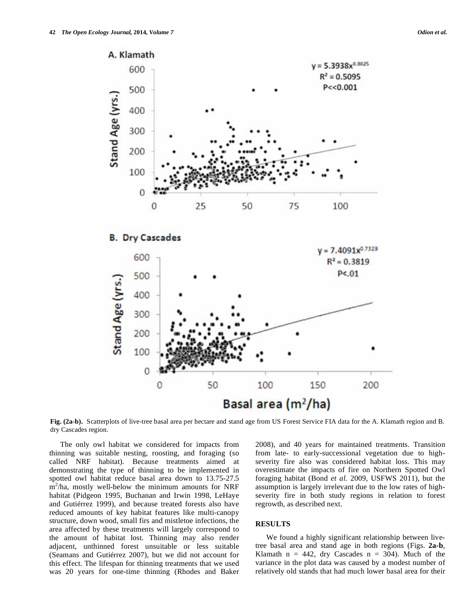

**Fig. (2a-b).** Scatterplots of live-tree basal area per hectare and stand age from US Forest Service FIA data for the A. Klamath region and B. dry Cascades region.

 The only owl habitat we considered for impacts from thinning was suitable nesting, roosting, and foraging (so called NRF habitat). Because treatments aimed at demonstrating the type of thinning to be implemented in spotted owl habitat reduce basal area down to 13.75-27.5  $m^2/ha$ , mostly well-below the minimum amounts for NRF habitat (Pidgeon 1995, Buchanan and Irwin 1998, LeHaye and Gutiérrez 1999), and because treated forests also have reduced amounts of key habitat features like multi-canopy structure, down wood, small firs and mistletoe infections, the area affected by these treatments will largely correspond to the amount of habitat lost. Thinning may also render adjacent, unthinned forest unsuitable or less suitable (Seamans and Gutiérrez 2007), but we did not account for this effect. The lifespan for thinning treatments that we used was 20 years for one-time thinning (Rhodes and Baker

2008), and 40 years for maintained treatments. Transition from late- to early-successional vegetation due to highseverity fire also was considered habitat loss. This may overestimate the impacts of fire on Northern Spotted Owl foraging habitat (Bond *et al.* 2009, USFWS 2011), but the assumption is largely irrelevant due to the low rates of highseverity fire in both study regions in relation to forest regrowth, as described next.

## **RESULTS**

 We found a highly significant relationship between livetree basal area and stand age in both regions (Figs. **2a-b**, Klamath  $n = 442$ , dry Cascades  $n = 304$ ). Much of the variance in the plot data was caused by a modest number of relatively old stands that had much lower basal area for their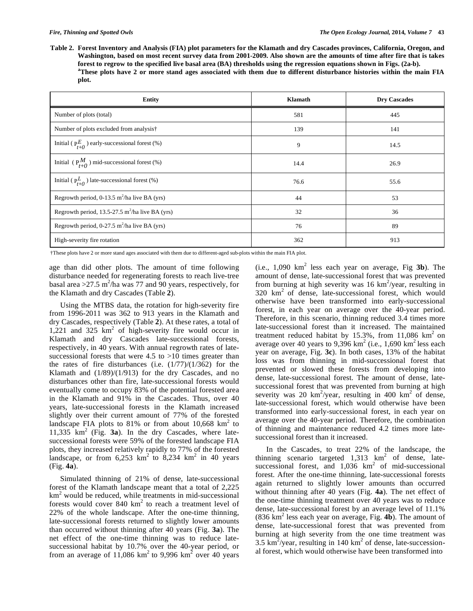**Table 2. Forest Inventory and Analysis (FIA) plot parameters for the Klamath and dry Cascades provinces, California, Oregon, and Washington, based on most recent survey data from 2001-2009. Also shown are the amounts of time after fire that is takes forest to regrow to the specified live basal area (BA) thresholds using the regression equations shown in Figs. (2a-b).**  <sup>a</sup>These plots have 2 or more stand ages associated with them due to different disturbance histories within the main FIA **plot.** 

| <b>Entity</b>                                                 | Klamath | <b>Dry Cascades</b> |
|---------------------------------------------------------------|---------|---------------------|
| Number of plots (total)                                       | 581     | 445                 |
| Number of plots excluded from analysis†                       | 139     | 141                 |
| Initial ( $P_{t+0}^{E}$ ) early-successional forest (%)       | 9       | 14.5                |
| Initial ( $P_{t+0}$ ) mid-successional forest (%)             | 14.4    | 26.9                |
| Initial ( $P_{t+0}^L$ ) late-successional forest (%)          | 76.6    | 55.6                |
| Regrowth period, 0-13.5 $m^2/ha$ live BA (yrs)                | 44      | 53                  |
| Regrowth period, $13.5-27.5$ m <sup>2</sup> /ha live BA (yrs) | 32      | 36                  |
| Regrowth period, 0-27.5 $m^2$ /ha live BA (yrs)               | 76      | 89                  |
| High-severity fire rotation                                   | 362     | 913                 |

†These plots have 2 or more stand ages associated with them due to different-aged sub-plots within the main FIA plot.

age than did other plots. The amount of time following disturbance needed for regenerating forests to reach live-tree basal area >  $27.5 \text{ m}^2$ /ha was 77 and 90 years, respectively, for the Klamath and dry Cascades (Table **2**).

 Using the MTBS data, the rotation for high-severity fire from 1996-2011 was 362 to 913 years in the Klamath and dry Cascades, respectively (Table **2**). At these rates, a total of  $1,221$  and  $325 \text{ km}^2$  of high-severity fire would occur in Klamath and dry Cascades late-successional forests, respectively, in 40 years. With annual regrowth rates of latesuccessional forests that were  $4.5$  to  $>10$  times greater than the rates of fire disturbances (i.e.  $(1/77)/(1/362)$  for the Klamath and  $(1/89)/(1/913)$  for the dry Cascades, and no disturbances other than fire, late-successional forests would eventually come to occupy 83% of the potential forested area in the Klamath and 91% in the Cascades. Thus, over 40 years, late-successional forests in the Klamath increased slightly over their current amount of 77% of the forested landscape FIA plots to 81% or from about 10,668  $km^2$  to 11,335  $km^2$  (Fig. **3a**). In the dry Cascades, where latesuccessional forests were 59% of the forested landscape FIA plots, they increased relatively rapidly to 77% of the forested landscape, or from  $6,253 \text{ km}^2$  to  $8,234 \text{ km}^2$  in 40 years (Fig. **4a**).

 Simulated thinning of 21% of dense, late-successional forest of the Klamath landscape meant that a total of 2,225 km<sup>2</sup> would be reduced, while treatments in mid-successional forests would cover  $840 \text{ km}^2$  to reach a treatment level of 22% of the whole landscape. After the one-time thinning, late-successional forests returned to slightly lower amounts than occurred without thinning after 40 years (Fig. **3a**). The net effect of the one-time thinning was to reduce latesuccessional habitat by 10.7% over the 40-year period, or from an average of 11,086  $km^2$  to 9,996  $km^2$  over 40 years

 $(i.e., 1,090 \text{ km}^2 \text{ less each year on average, Fig } 3b)$ . The amount of dense, late-successional forest that was prevented from burning at high severity was  $16 \text{ km}^2/\text{year}$ , resulting in  $320 \text{ km}^2$  of dense, late-successional forest, which would otherwise have been transformed into early-successional forest, in each year on average over the 40-year period. Therefore, in this scenario, thinning reduced 3.4 times more late-successional forest than it increased. The maintained treatment reduced habitat by 15.3%, from 11,086  $km<sup>2</sup>$  on average over 40 years to 9,396 km<sup>2</sup> (i.e., 1,690 km<sup>2</sup> less each year on average, Fig. **3c**). In both cases, 13% of the habitat loss was from thinning in mid-successional forest that prevented or slowed these forests from developing into dense, late-successional forest. The amount of dense, latesuccessional forest that was prevented from burning at high severity was 20  $km^2$ /year, resulting in 400  $km^2$  of dense, late-successional forest, which would otherwise have been transformed into early-successional forest, in each year on average over the 40-year period. Therefore, the combination of thinning and maintenance reduced 4.2 times more latesuccessional forest than it increased.

 In the Cascades, to treat 22% of the landscape, the thinning scenario targeted  $1,313 \text{ km}^2$  of dense, latesuccessional forest, and  $1,036$  km<sup>2</sup> of mid-successional forest. After the one-time thinning, late-successional forests again returned to slightly lower amounts than occurred without thinning after 40 years (Fig. **4a**). The net effect of the one-time thinning treatment over 40 years was to reduce dense, late-successional forest by an average level of 11.1% (836 km<sup>2</sup> less each year on average, Fig. **4b**). The amount of dense, late-successional forest that was prevented from burning at high severity from the one time treatment was  $3.5 \text{ km}^2/\text{year}$ , resulting in 140 km<sup>2</sup> of dense, late-successional forest, which would otherwise have been transformed into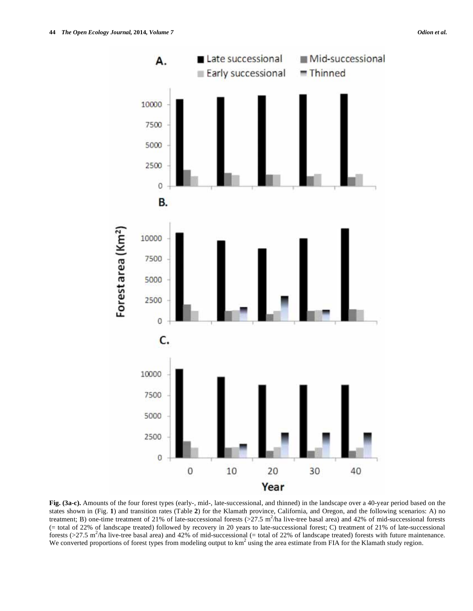

**Fig. (3a-c).** Amounts of the four forest types (early-, mid-, late-successional, and thinned) in the landscape over a 40-year period based on the states shown in (Fig. **1**) and transition rates (Table **2**) for the Klamath province, California, and Oregon, and the following scenarios: A) no treatment; B) one-time treatment of 21% of late-successional forests  $(>27.5 \text{ m}^2/\text{ha}$  live-tree basal area) and 42% of mid-successional forests (= total of 22% of landscape treated) followed by recovery in 20 years to late-successional forest; C) treatment of 21% of late-successional forests  $(>27.5 \text{ m}^2/\text{ha}$  live-tree basal area) and 42% of mid-successional (= total of 22% of landscape treated) forests with future maintenance. We converted proportions of forest types from modeling output to  $km<sup>2</sup>$  using the area estimate from FIA for the Klamath study region.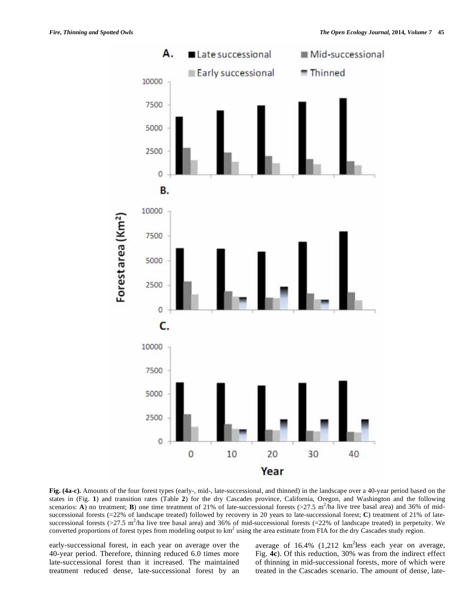

**Fig. (4a-c).** Amounts of the four forest types (early-, mid-, late-successional, and thinned) in the landscape over a 40-year period based on the states in (Fig. **1**) and transition rates (Table **2**) for the dry Cascades province, California, Oregon, and Washington and the following scenarios: **A**) no treatment; **B**) one time treatment of 21% of late-successional forests  $(27.5 \text{ m}^2/\text{ha}$  live tree basal area) and 36% of midsuccessional forests (=22% of landscape treated) followed by recovery in 20 years to late-successional forest; **C**) treatment of 21% of latesuccessional forests ( $>27.5$  m<sup>2</sup>/ha live tree basal area) and 36% of mid-successional forests (=22% of landscape treated) in perpetuity. We converted proportions of forest types from modeling output to  $km^2$  using the area estimate from FIA for the dry Cascades study region.

early-successional forest, in each year on average over the 40-year period. Therefore, thinning reduced 6.0 times more late-successional forest than it increased. The maintained treatment reduced dense, late-successional forest by an

average of  $16.4\%$  (1,212 km<sup>2</sup>less each year on average, Fig. **4c**). Of this reduction, 30% was from the indirect effect of thinning in mid-successional forests, more of which were treated in the Cascades scenario. The amount of dense, late-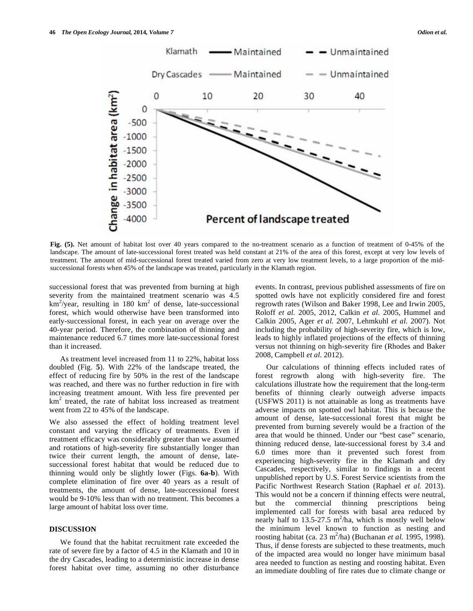

**Fig. (5).** Net amount of habitat lost over 40 years compared to the no-treatment scenario as a function of treatment of 0-45% of the landscape. The amount of late-successional forest treated was held constant at 21% of the area of this forest, except at very low levels of treatment. The amount of mid-successional forest treated varied from zero at very low treatment levels, to a large proportion of the midsuccessional forests when 45% of the landscape was treated, particularly in the Klamath region.

successional forest that was prevented from burning at high severity from the maintained treatment scenario was 4.5  $km^2$ /year, resulting in 180 km<sup>2</sup> of dense, late-successional forest, which would otherwise have been transformed into early-successional forest, in each year on average over the 40-year period. Therefore, the combination of thinning and maintenance reduced 6.7 times more late-successional forest than it increased.

 As treatment level increased from 11 to 22%, habitat loss doubled (Fig. **5**). With 22% of the landscape treated, the effect of reducing fire by 50% in the rest of the landscape was reached, and there was no further reduction in fire with increasing treatment amount. With less fire prevented per km<sup>2</sup> treated, the rate of habitat loss increased as treatment went from 22 to 45% of the landscape.

We also assessed the effect of holding treatment level constant and varying the efficacy of treatments. Even if treatment efficacy was considerably greater than we assumed and rotations of high-severity fire substantially longer than twice their current length, the amount of dense, latesuccessional forest habitat that would be reduced due to thinning would only be slightly lower (Figs. **6a-b**). With complete elimination of fire over 40 years as a result of treatments, the amount of dense, late-successional forest would be 9-10% less than with no treatment. This becomes a large amount of habitat loss over time.

## **DISCUSSION**

 We found that the habitat recruitment rate exceeded the rate of severe fire by a factor of 4.5 in the Klamath and 10 in the dry Cascades, leading to a deterministic increase in dense forest habitat over time, assuming no other disturbance events. In contrast, previous published assessments of fire on spotted owls have not explicitly considered fire and forest regrowth rates (Wilson and Baker 1998, Lee and Irwin 2005, Roloff *et al.* 2005, 2012, Calkin *et al.* 2005, Hummel and Calkin 2005, Ager *et al.* 2007, Lehmkuhl *et al.* 2007). Not including the probability of high-severity fire, which is low, leads to highly inflated projections of the effects of thinning versus not thinning on high-severity fire (Rhodes and Baker 2008, Campbell *et al.* 2012).

 Our calculations of thinning effects included rates of forest regrowth along with high-severity fire. The calculations illustrate how the requirement that the long-term benefits of thinning clearly outweigh adverse impacts (USFWS 2011) is not attainable as long as treatments have adverse impacts on spotted owl habitat. This is because the amount of dense, late-successional forest that might be prevented from burning severely would be a fraction of the area that would be thinned. Under our "best case" scenario, thinning reduced dense, late-successional forest by 3.4 and 6.0 times more than it prevented such forest from experiencing high-severity fire in the Klamath and dry Cascades, respectively, similar to findings in a recent unpublished report by U.S. Forest Service scientists from the Pacific Northwest Research Station (Raphael *et al.* 2013). This would not be a concern if thinning effects were neutral, but the commercial thinning prescriptions being implemented call for forests with basal area reduced by nearly half to 13.5-27.5  $m^2/ha$ , which is mostly well below the minimum level known to function as nesting and roosting habitat (ca. 23 m<sup>2</sup>/ha) (Buchanan *et al.* 1995, 1998). Thus, if dense forests are subjected to these treatments, much of the impacted area would no longer have minimum basal area needed to function as nesting and roosting habitat. Even an immediate doubling of fire rates due to climate change or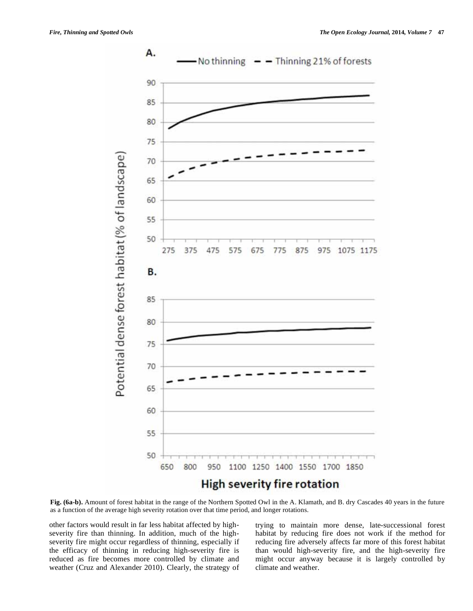

**Fig. (6a-b).** Amount of forest habitat in the range of the Northern Spotted Owl in the A. Klamath, and B. dry Cascades 40 years in the future as a function of the average high severity rotation over that time period, and longer rotations.

other factors would result in far less habitat affected by highseverity fire than thinning. In addition, much of the highseverity fire might occur regardless of thinning, especially if the efficacy of thinning in reducing high-severity fire is reduced as fire becomes more controlled by climate and weather (Cruz and Alexander 2010). Clearly, the strategy of

trying to maintain more dense, late-successional forest habitat by reducing fire does not work if the method for reducing fire adversely affects far more of this forest habitat than would high-severity fire, and the high-severity fire might occur anyway because it is largely controlled by climate and weather.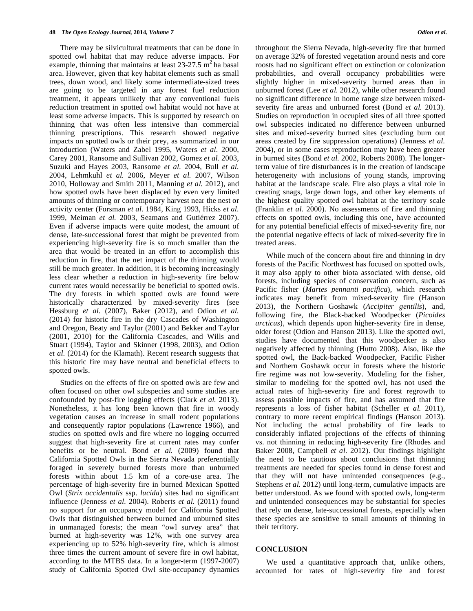There may be silvicultural treatments that can be done in spotted owl habitat that may reduce adverse impacts. For example, thinning that maintains at least  $23-27.5$  m<sup>2</sup> ha basal area. However, given that key habitat elements such as small trees, down wood, and likely some intermediate-sized trees are going to be targeted in any forest fuel reduction treatment, it appears unlikely that any conventional fuels reduction treatment in spotted owl habitat would not have at least some adverse impacts. This is supported by research on thinning that was often less intensive than commercial thinning prescriptions. This research showed negative impacts on spotted owls or their prey, as summarized in our introduction (Waters and Zabel 1995, Waters *et al.* 2000, Carey 2001, Ransome and Sullivan 2002, Gomez *et al.* 2003, Suzuki and Hayes 2003, Ransome *et al.* 2004, Bull *et al.* 2004, Lehmkuhl *et al.* 2006, Meyer *et al.* 2007, Wilson 2010, Holloway and Smith 2011, Manning *et al.* 2012), and how spotted owls have been displaced by even very limited amounts of thinning or contemporary harvest near the nest or activity center (Forsman *et al.* 1984, King 1993, Hicks *et al.* 1999, Meiman *et al.* 2003, Seamans and Gutiérrez 2007). Even if adverse impacts were quite modest, the amount of dense, late-successional forest that might be prevented from experiencing high-severity fire is so much smaller than the area that would be treated in an effort to accomplish this reduction in fire, that the net impact of the thinning would still be much greater. In addition, it is becoming increasingly less clear whether a reduction in high-severity fire below current rates would necessarily be beneficial to spotted owls. The dry forests in which spotted owls are found were historically characterized by mixed-severity fires (see Hessburg *et al.* (2007), Baker (2012), and Odion *et al.* (2014) for historic fire in the dry Cascades of Washington and Oregon, Beaty and Taylor (2001) and Bekker and Taylor (2001, 2010) for the California Cascades, and Wills and Stuart (1994), Taylor and Skinner (1998, 2003), and Odion *et al.* (2014) for the Klamath). Recent research suggests that this historic fire may have neutral and beneficial effects to spotted owls.

 Studies on the effects of fire on spotted owls are few and often focused on other owl subspecies and some studies are confounded by post-fire logging effects (Clark *et al.* 2013). Nonetheless, it has long been known that fire in woody vegetation causes an increase in small rodent populations and consequently raptor populations (Lawrence 1966), and studies on spotted owls and fire where no logging occurred suggest that high-severity fire at current rates may confer benefits or be neutral. Bond *et al.* (2009) found that California Spotted Owls in the Sierra Nevada preferentially foraged in severely burned forests more than unburned forests within about 1.5 km of a core-use area. The percentage of high-severity fire in burned Mexican Spotted Owl (*Strix occidentalis* ssp. *lucida*) sites had no significant influence (Jenness *et al.* 2004). Roberts *et al.* (2011) found no support for an occupancy model for California Spotted Owls that distinguished between burned and unburned sites in unmanaged forests; the mean "owl survey area" that burned at high-severity was 12%, with one survey area experiencing up to 52% high-severity fire, which is almost three times the current amount of severe fire in owl habitat, according to the MTBS data. In a longer-term (1997-2007) study of California Spotted Owl site-occupancy dynamics

throughout the Sierra Nevada, high-severity fire that burned on average 32% of forested vegetation around nests and core roosts had no significant effect on extinction or colonization probabilities, and overall occupancy probabilities were slightly higher in mixed-severity burned areas than in unburned forest (Lee *et al.* 2012), while other research found no significant difference in home range size between mixedseverity fire areas and unburned forest (Bond *et al.* 2013). Studies on reproduction in occupied sites of all three spotted owl subspecies indicated no difference between unburned sites and mixed-severity burned sites (excluding burn out areas created by fire suppression operations) (Jenness *et al.* 2004), or in some cases reproduction may have been greater in burned sites (Bond *et al.* 2002, Roberts 2008). The longerterm value of fire disturbances is in the creation of landscape heterogeneity with inclusions of young stands, improving habitat at the landscape scale. Fire also plays a vital role in creating snags, large down logs, and other key elements of the highest quality spotted owl habitat at the territory scale (Franklin *et al.* 2000). No assessments of fire and thinning effects on spotted owls, including this one, have accounted for any potential beneficial effects of mixed-severity fire, nor the potential negative effects of lack of mixed-severity fire in treated areas.

 While much of the concern about fire and thinning in dry forests of the Pacific Northwest has focused on spotted owls, it may also apply to other biota associated with dense, old forests, including species of conservation concern, such as Pacific fisher (*Martes pennanti pacifica*), which research indicates may benefit from mixed-severity fire (Hanson 2013), the Northern Goshawk (*Accipiter gentilis*), and, following fire, the Black-backed Woodpecker (*Picoides arcticus*), which depends upon higher-severity fire in dense, older forest (Odion and Hanson 2013). Like the spotted owl, studies have documented that this woodpecker is also negatively affected by thinning (Hutto 2008). Also, like the spotted owl, the Back-backed Woodpecker, Pacific Fisher and Northern Goshawk occur in forests where the historic fire regime was not low-severity. Modeling for the fisher, similar to modeling for the spotted owl, has not used the actual rates of high-severity fire and forest regrowth to assess possible impacts of fire, and has assumed that fire represents a loss of fisher habitat (Scheller *et al.* 2011), contrary to more recent empirical findings (Hanson 2013). Not including the actual probability of fire leads to considerably inflated projections of the effects of thinning vs. not thinning in reducing high-severity fire (Rhodes and Baker 2008, Campbell *et al*. 2012). Our findings highlight the need to be cautious about conclusions that thinning treatments are needed for species found in dense forest and that they will not have unintended consequences (e.g., Stephens *et al.* 2012) until long-term, cumulative impacts are better understood. As we found with spotted owls, long-term and unintended consequences may be substantial for species that rely on dense, late-successional forests, especially when these species are sensitive to small amounts of thinning in their territory.

#### **CONCLUSION**

 We used a quantitative approach that, unlike others, accounted for rates of high-severity fire and forest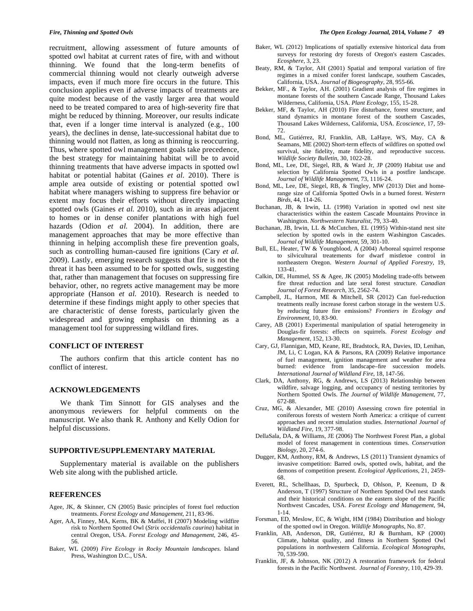recruitment, allowing assessment of future amounts of spotted owl habitat at current rates of fire, with and without thinning. We found that the long-term benefits of commercial thinning would not clearly outweigh adverse impacts, even if much more fire occurs in the future. This conclusion applies even if adverse impacts of treatments are quite modest because of the vastly larger area that would need to be treated compared to area of high-severity fire that might be reduced by thinning. Moreover, our results indicate that, even if a longer time interval is analyzed (e.g., 100 years), the declines in dense, late-successional habitat due to thinning would not flatten, as long as thinning is reoccurring. Thus, where spotted owl management goals take precedence, the best strategy for maintaining habitat will be to avoid thinning treatments that have adverse impacts in spotted owl habitat or potential habitat (Gaines *et al.* 2010). There is ample area outside of existing or potential spotted owl habitat where managers wishing to suppress fire behavior or extent may focus their efforts without directly impacting spotted owls (Gaines *et al.* 2010), such as in areas adjacent to homes or in dense conifer plantations with high fuel hazards (Odion *et al.* 2004). In addition, there are management approaches that may be more effective than thinning in helping accomplish these fire prevention goals, such as controlling human-caused fire ignitions (Cary *et al.* 2009). Lastly, emerging research suggests that fire is not the threat it has been assumed to be for spotted owls, suggesting that, rather than management that focuses on suppressing fire behavior, other, no regrets active management may be more appropriate (Hanson *et al.* 2010). Research is needed to determine if these findings might apply to other species that are characteristic of dense forests, particularly given the widespread and growing emphasis on thinning as a management tool for suppressing wildland fires.

#### **CONFLICT OF INTEREST**

 The authors confirm that this article content has no conflict of interest.

## **ACKNOWLEDGEMENTS**

 We thank Tim Sinnott for GIS analyses and the anonymous reviewers for helpful comments on the manuscript. We also thank R. Anthony and Kelly Odion for helpful discussions.

# **SUPPORTIVE/SUPPLEMENTARY MATERIAL**

 Supplementary material is available on the publishers Web site along with the published article.

### **REFERENCES**

- Agee, JK, & Skinner, CN (2005) Basic principles of forest fuel reduction treatments. *Forest Ecology and Management*, 211, 83-96.
- Ager, AA, Finney, MA, Kerns, BK & Maffei, H (2007) Modeling wildfire risk to Northern Spotted Owl (*Strix occidentalis caurina*) habitat in central Oregon, USA. *Forest Ecology and Management*, 246, 45- 56.
- Baker, WL (2009) *Fire Ecology in Rocky Mountain landscapes*. Island Press, Washington D.C., USA.
- Baker*,* WL (2012) Implications of spatially extensive historical data from surveys for restoring dry forests of Oregon's eastern Cascades. *Ecosphere,* 3, 23.
- Beaty, RM, & Taylor, AH (2001) Spatial and temporal variation of fire regimes in a mixed conifer forest landscape, southern Cascades, California, USA. *Journal of Biogeography*, 28, 955-66.
- Bekker, MF., & Taylor, AH. (2001) Gradient analysis of fire regimes in montane forests of the southern Cascade Range, Thousand Lakes Wilderness, California, USA. *Plant Ecology*, 155, 15-28.
- Bekker, MF, & Taylor, AH (2010) Fire disturbance, forest structure, and stand dynamics in montane forest of the southern Cascades, Thousand Lakes Wilderness, California, USA. *Ecoscience*, 17, 59- 72.
- Bond, ML, Gutiérrez, RJ, Franklin, AB, LaHaye, WS, May, CA & Seamans, ME (2002) Short-term effects of wildfires on spotted owl survival, site fidelity, mate fidelity, and reproductive success. *Wildlife Society Bulletin*, 30, 1022-28.
- Bond, ML, Lee, DE, Siegel, RB, & Ward Jr, JP (2009) Habitat use and selection by California Spotted Owls in a postfire landscape. *Journal of Wildlife Management*, 73, 1116-24.
- Bond, ML, Lee, DE, Siegel, RB, & Tingley, MW (2013) Diet and homerange size of California Spotted Owls in a burned forest. *Western Birds*, 44, 114-26.
- Buchanan, JB, & Irwin, LL (1998) Variation in spotted owl nest site characteristics within the eastern Cascade Mountains Province in Washington. *Northwestern Naturalist*, 79, 33-40.
- Buchanan, JB, Irwin, LL & McCutchen, EL (1995) Within-stand nest site selection by spotted owls in the eastern Washington Cascades. *Journal of Wildlife Management*, 59, 301-10.
- Bull, EL, Heater, TW & Youngblood, A (2004) Arboreal squirrel response to silvicultural treatements for dwarf mistletoe control in northeastern Oregon. *Western Journal of Applied Forestry*, 19, 133-41.
- Calkin, DE, Hummel, SS & Agee, JK (2005) Modeling trade-offs between fire threat reduction and late seral forest structure. *Canadian Journal of Forest Research*, 35, 2562-74.
- Campbell, JL, Harmon, ME & Mitchell, SR (2012) Can fuel-reduction treatments really increase forest carbon storage in the western U.S. by reducing future fire emissions? *Frontiers in Ecology and Environment,* 10, 83-90.
- Carey, AB (2001) Experimental manipulation of spatial heterogeneity in Douglas-fir forests: effects on squirrels. *Forest Ecology and Management*, 152, 13-30.
- Cary, GJ, Flannigan, MD, Keane, RE, Bradstock, RA, Davies, ID, Lenihan, JM, Li, C Logan, KA & Parsons, RA (2009) Relative importance of fuel management, ignition management and weather for area burned: evidence from landscape–fire succession models. *International Journal of Wildland Fire*, 18, 147-56.
- Clark, DA, Anthony, RG, & Andrews, LS (2013) Relationship between wildfire, salvage logging, and occupancy of nesting territories by Northern Spotted Owls. *The Journal of Wildlife Management*, 77, 672-88.
- Cruz, MG, & Alexander, ME (2010) Assessing crown fire potential in coniferous forests of western North America: a critique of current approaches and recent simulation studies. *International Journal of Wildland Fire*, 19, 377-98.
- DellaSala, DA, & Williams, JE (2006) The Northwest Forest Plan, a global model of forest management in contentious times. *Conservation Biology*, 20, 274-6.
- Dugger, KM, Anthony, RM, & Andrews, LS (2011) Transient dynamics of invasive competition: Barred owls, spotted owls, habitat, and the demons of competition present. *Ecological Applications*, 21, 2459- 68.
- Everett, RL, Schellhaas, D, Spurbeck, D, Ohlson, P, Keenum, D & Anderson, T (1997) Structure of Northern Spotted Owl nest stands and their historical conditions on the eastern slope of the Pacific Northwest Cascades, USA. *Forest Ecology and Management*, 94, 1-14.
- Forsman, ED, Meslow, EC, & Wight, HM (1984) Distribution and biology of the spotted owl in Oregon. *Wildlife Monographs*, No. 87.
- Franklin, AB, Anderson, DR, Gutiérrez, RJ & Burnham, KP (2000) Climate, habitat quality, and fitness in Northern Spotted Owl populations in northwestern California. *Ecological Monographs*, 70, 539-590.
- Franklin, JF, & Johnson, NK (2012) A restoration framework for federal forests in the Pacific Northwest. *Journal of Forestry*, 110, 429-39.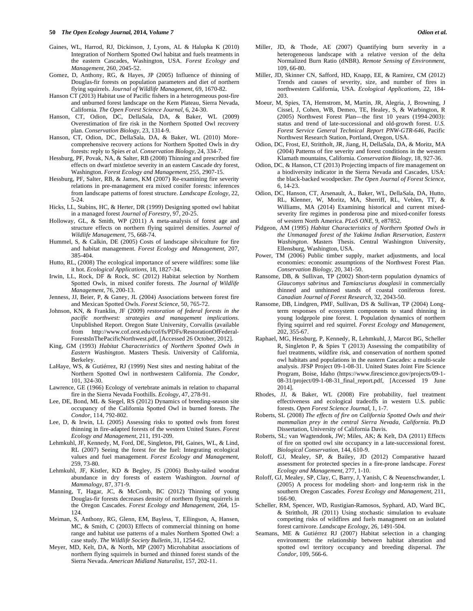#### **50** *The Open Ecology Journal,* **2014***, Volume 7 Odion et al.*

- Gaines, WL, Harrod, RJ, Dickinson, J, Lyons, AL & Halupka K (2010) Integration of Northern Spotted Owl habitat and fuels treatments in the eastern Cascades, Washington, USA. *Forest Ecology and Management*, 260, 2045-52.
- Gomez, D, Anthony, RG, & Hayes, JP (2005) Influence of thinning of Douglas-fir forests on population parameters and diet of northern flying squirrels. *Journal of Wildlife Management*, 69, 1670-82.
- Hanson CT (2013) Habitat use of Pacific fishers in a heterogeneous post-fire and unburned forest landscape on the Kern Plateau, Sierra Nevada, California. *The Open Forest Science Journal*, 6, 24-30.
- Hanson, CT, Odion, DC, DellaSala, DA, & Baker, WL (2009) Overestimation of fire risk in the Northern Spotted Owl recovery plan. *Conservation Biology*, 23, 1314-9.
- Hanson, CT, Odion, DC, DellaSala, DA, & Baker, WL (2010) Morecomprehensive recovery actions for Northern Spotted Owls in dry forests: reply to Spies *et al. Conservation Biology*, 24, 334-7.
- Hessburg, PF, Povak, NA, & Salter, RB (2008) Thinning and prescribed fire effects on dwarf mistletoe severity in an eastern Cascade dry forest, Washington. *Forest Ecology and Management*, 255, 2907-15.
- Hessburg, PF, Salter, RB, & James, KM (2007) Re-examining fire severity relations in pre-management era mixed conifer forests: inferences from landscape patterns of forest structure. *Landscape Ecology*, 22, 5-24.
- Hicks, LL, Stabins, HC, & Herter, DR (1999) Designing spotted owl habitat in a managed forest *Journal of Forestry*, 97, 20-25.
- Holloway, GL, & Smith, WP (2011) A meta-analysis of forest age and structure effects on northern flying squirrel densities. *Journal of Wildlife Management*, 75, 668-74.
- Hummel, S, & Calkin, DE (2005) Costs of landscape silviculture for fire and habitat management. *Forest Ecology and Management*, 207, 385-404.
- Hutto, RL, (2008) The ecological importance of severe wildfires: some like it hot. *Ecological Applications*, 18, 1827-34.
- Irwin, LL, Rock, DF & Rock, SC (2012) Habitat selection by Northern Spotted Owls, in mixed conifer forests. *The Journal of Wildlife Management*, 76, 200-13.
- Jenness, JJ, Beier, P, & Ganey, JL (2004) Associations between forest fire and Mexican Spotted Owls. *Forest Science*, 50, 765-72.
- Johnson, KN, & Franklin, JF (2009) *restoration of federal forests in the pacific northwest: strategies and management implications*. Unpublished Report. Oregon State University, Corvallis (available from http://www.cof.orst.edu/cof/fs/PDFs/RestorationOfFederal-ForestsInThePacificNorthwest.pdf, [Accessed 26 October, 2012].
- King, GM (1993) *Habitat Characteristics of Northern Spotted Owls in Eastern Washington*. Masters Thesis. University of California, Berkeley.
- LaHaye, WS, & Gutiérrez, RJ (1999) Nest sites and nesting habitat of the Northern Spotted Owl in northwestern California. *The Condor*, 101, 324-30.
- Lawrence, GE (1966) Ecology of vertebrate animals in relation to chaparral fire in the Sierra Nevada Foothills. *Ecology*, 47, 278-91.
- Lee, DE, Bond, ML & Siegel, RS (2012) Dynamics of breeding-season site occupancy of the California Spotted Owl in burned forests. *The Condor*, 114, 792-802.
- Lee, D, & Irwin, LL (2005) Assessing risks to spotted owls from forest thinning in fire-adapted forests of the western United States. *Forest Ecology and Management*, 211, 191-209.
- Lehmkuhl, JF, Kennedy, M, Ford, DE, Singleton, PH, Gaines, WL, & Lind, RL (2007) Seeing the forest for the fuel: Integrating ecological values and fuel management. *Forest Ecology and Management*, 259, 73-80.
- Lehmkuhl, JF, Kistler, KD & Begley, JS (2006) Bushy-tailed woodrat abundance in dry forests of eastern Washington. *Journal of Mammalogy*, 87, 371-9.
- Manning, T, Hagar, JC, & McComb, BC (2012) Thinning of young Douglas-fir forests decreases density of northern flying squirrels in the Oregon Cascades. *Forest Ecology and Management*, 264, 15- 124.
- Meiman, S, Anthony, RG, Glenn, EM, Bayless, T, Ellingson, A, Hansen, MC, & Smith, C (2003) Effects of commercial thinning on home range and habitat use patterns of a males Northern Spotted Owl: a case study. *The Wildlife Society Bulletin,* 31, 1254-62.
- Meyer, MD, Kelt, DA, & North, MP (2007) Microhabitat associations of northern flying squirrels in burned and thinned forest stands of the Sierra Nevada. *American Midland Naturalist*, 157, 202-11.
- Miller, JD, & Thode, AE (2007) Quantifying burn severity in a heterogeneous landscape with a relative version of the delta Normalized Burn Ratio (dNBR). *Remote Sensing of Environment*, 109, 66-80.
- Miller, JD, Skinner CN, Safford, HD, Knapp, EE, & Ramirez, CM (2012) Trends and causes of severity, size, and number of fires in northwestern California, USA. *Ecological Applications*, 22, 184- 203.
- Moeur, M, Spies, TA, Hemstrom, M, Martin, JR, Alegria, J, Browning, J Cissel, J, Cohen, WB, Demeo, TE, Healey, S, & Warbington, R (2005) Northwest Forest Plan—the first 10 years (1994-2003): status and trend of late-successional and old-growth forest. *U.S. Forest Service General Technical Report PNW-GTR-646*, Pacific Northwest Research Station, Portland, Oregon, USA.
- Odion, DC, Frost, EJ, Strittholt, JR, Jiang, H, DellaSala, DA, & Moritz, MA (2004) Patterns of fire severity and forest conditions in the western Klamath mountains, California. *Conservation Biology*, 18, 927-36.
- Odion, DC, & Hanson, CT (2013) Projecting impacts of fire management on a biodiversity indicator in the Sierra Nevada and Cascades, USA: the black-backed woodpecker. *The Open Journal of Forest Science*, 6, 14-23.
- Odion, DC, Hanson, CT, Arsenault, A., Baker, WL, DellaSala, DA, Hutto, RL, Klenner, W, Moritz, MA, Sherriff, RL, Veblen, TT, & Williams, MA (2014) Examining historical and current mixedseverity fire regimes in ponderosa pine and mixed-conifer forests of western North America. *PLoS ONE*, 9, e87852.
- Pidgeon, AM (1995) *Habitat Characteristics of Northern Spotted Owls in the Unmanaged forest of the Yakima Indian Reservation, Eastern Washington.* Masters Thesis. Central Washington University, Ellensburg, Washington, USA.
- Power, TM (2006) Public timber supply, market adjustments, and local economies: economic assumptions of the Northwest Forest Plan. *Conservation Biology*, 20, 341-50.
- Ransome, DB, & Sullivan, TP (2002) Short-term population dynamics of *Glaucomys sabrinus* and *Tamiasciurus douglasii* in commercially thinned and unthinned stands of coastal coniferous forest. *Canadian Journal of Forest Research*, 32, 2043-50.
- Ransome, DB, Lindgren, PMF, Sullivan, DS & Sullivan, TP (2004) Longterm responses of ecosystem components to stand thinning in young lodgepole pine forest. I. Population dynamics of northern flying squirrel and red squirrel. *Forest Ecology and Management*, 202, 355-67.
- Raphael, MG, Hessburg, P, Kennedy, R, Lehmkuhl, J, Marcot BG, Scheller R, Singleton P, & Spies T (2013) Assessing the compatibility of fuel treatments, wildfire risk, and conservation of northern spotted owl habitats and populations in the eastern Cascades: a multi-scale analysis. JFSP Project 09-1-08-31. United States Joint Fire Science Program, Boise, Idaho (https://www.firescience.gov/projects/09-1- 08-31/project/09-1-08-31\_final\_report.pdf, [Accessed 19 June 2014].
- Rhodes, JJ, & Baker, WL (2008) Fire probability, fuel treatment effectiveness and ecological tradeoffs in western U.S. public forests. *Open Forest Science Journal*, 1, 1-7.
- Roberts, SL (2008) *The effects of fire on California Spotted Owls and their mammalian prey in the central Sierra Nevada, California*. Ph.D Dissertation, University of California Davis.
- Roberts, SL; van Wagtendonk, JW; Miles, AK; & Kelt, DA (2011) Effects of fire on spotted owl site occupancy in a late-successional forest. *Biological Conservation*, 144, 610-9.
- Roloff, GJ, Mealey, SP, & Bailey, JD (2012) Comparative hazard assessment for protected species in a fire-prone landscape. *Forest Ecology and Management*, 277, 1-10.
- Roloff, GJ, Mealey, SP, Clay, C, Barry, J, Yanish, C & Neuenschwander, L (2005) A process for modeling short- and long-term risk in the southern Oregon Cascades. *Forest Ecology and Management*, 211, 166-90.
- Scheller, RM, Spencer, WD, Rustigian-Ramosos, Syphard, AD, Ward BC, & Strittholt, JR (2011) Using stochastic simulation to evaluate competing risks of wildfires and fuels managment on an isolated forest carnivore. *Landscape Ecology*, 26, 1491-504.
- Seamans, ME & Gutiérrez RJ (2007) Habitat selection in a changing environment: the relationship between habitat alteration and spotted owl territory occupancy and breeding dispersal. *The Condor*, 109, 566-6.